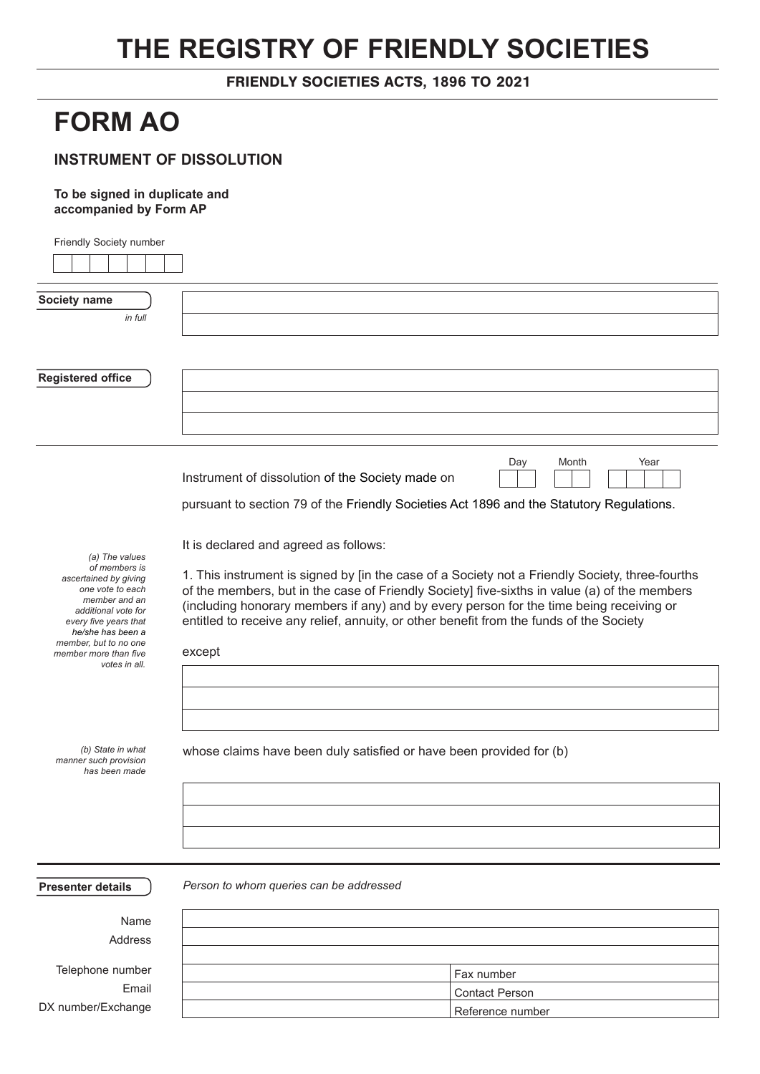## **THE REGISTRY OF FRIENDLY SOCIETIES**

FRIENDLY SOCIETIES ACTS, 1896 TO 2021

## **FORM AO**

## **INSTRUMENT OF DISSOLUTION**

## **To be signed in duplicate and accompanied by Form AP**

| Friendly Society number                                     |                                                                                                 |  |  |
|-------------------------------------------------------------|-------------------------------------------------------------------------------------------------|--|--|
|                                                             |                                                                                                 |  |  |
|                                                             |                                                                                                 |  |  |
| Society name                                                |                                                                                                 |  |  |
| in full                                                     |                                                                                                 |  |  |
|                                                             |                                                                                                 |  |  |
|                                                             |                                                                                                 |  |  |
| <b>Registered office</b>                                    |                                                                                                 |  |  |
|                                                             |                                                                                                 |  |  |
|                                                             |                                                                                                 |  |  |
|                                                             |                                                                                                 |  |  |
|                                                             |                                                                                                 |  |  |
|                                                             | Month<br>Year<br>Day<br>Instrument of dissolution of the Society made on                        |  |  |
|                                                             | pursuant to section 79 of the Friendly Societies Act 1896 and the Statutory Regulations.        |  |  |
|                                                             |                                                                                                 |  |  |
| (a) The values                                              | It is declared and agreed as follows:                                                           |  |  |
| of members is<br>ascertained by giving                      | 1. This instrument is signed by [in the case of a Society not a Friendly Society, three-fourths |  |  |
| one vote to each                                            | of the members, but in the case of Friendly Society] five-sixths in value (a) of the members    |  |  |
| member and an<br>additional vote for                        | (including honorary members if any) and by every person for the time being receiving or         |  |  |
| every five years that<br>he/she has been a                  | entitled to receive any relief, annuity, or other benefit from the funds of the Society         |  |  |
| member, but to no one                                       |                                                                                                 |  |  |
| member more than five<br>votes in all.                      | except                                                                                          |  |  |
|                                                             |                                                                                                 |  |  |
|                                                             |                                                                                                 |  |  |
|                                                             |                                                                                                 |  |  |
|                                                             |                                                                                                 |  |  |
| (b) State in what<br>manner such provision<br>has been made | whose claims have been duly satisfied or have been provided for (b)                             |  |  |
|                                                             |                                                                                                 |  |  |
|                                                             |                                                                                                 |  |  |
|                                                             |                                                                                                 |  |  |
|                                                             |                                                                                                 |  |  |
|                                                             |                                                                                                 |  |  |
| <b>Presenter details</b>                                    | Person to whom queries can be addressed                                                         |  |  |
| Name                                                        |                                                                                                 |  |  |
| Address                                                     |                                                                                                 |  |  |
|                                                             |                                                                                                 |  |  |
| Telephone number                                            | Fax number                                                                                      |  |  |
| Email                                                       | <b>Contact Person</b>                                                                           |  |  |

Reference number

DX number/Exchange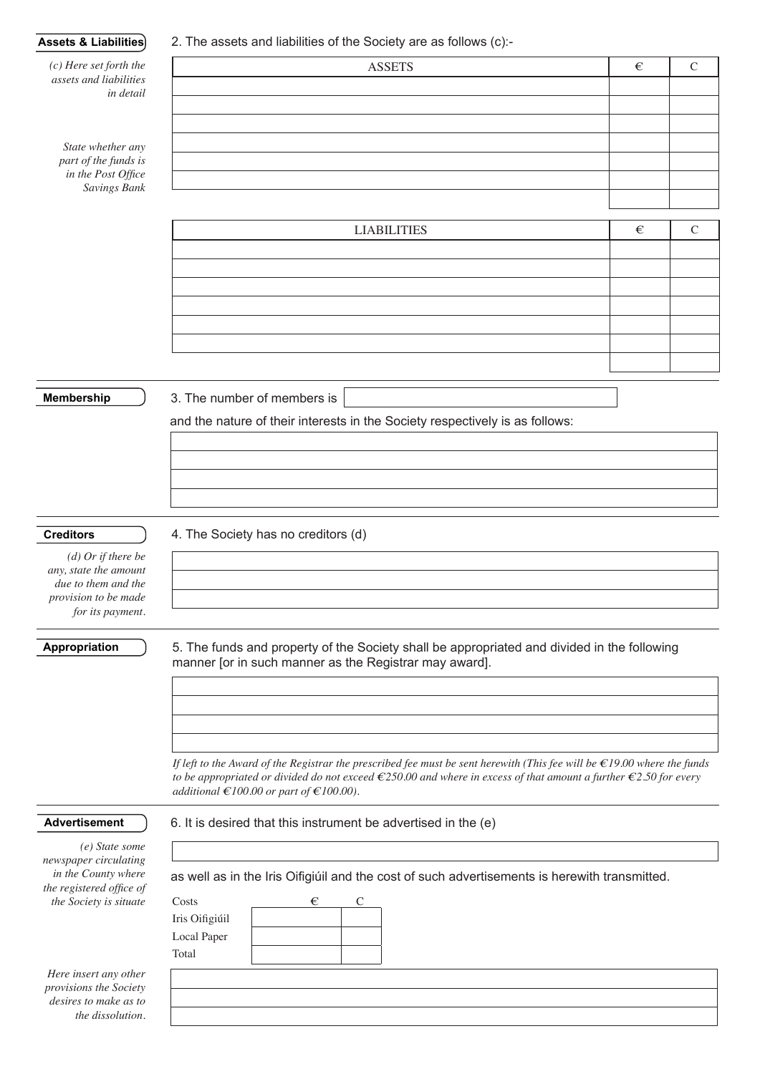| Assets & Liabilities)                              | 2. The assets and liabilities of the Society are as follows (c):-                                                                                                                                                                                                         |   |               |  |  |
|----------------------------------------------------|---------------------------------------------------------------------------------------------------------------------------------------------------------------------------------------------------------------------------------------------------------------------------|---|---------------|--|--|
| $(c)$ Here set forth the<br>assets and liabilities | <b>ASSETS</b>                                                                                                                                                                                                                                                             | € | $\mathsf{C}$  |  |  |
| in detail                                          |                                                                                                                                                                                                                                                                           |   |               |  |  |
|                                                    |                                                                                                                                                                                                                                                                           |   |               |  |  |
|                                                    |                                                                                                                                                                                                                                                                           |   |               |  |  |
| State whether any<br>part of the funds is          |                                                                                                                                                                                                                                                                           |   |               |  |  |
| in the Post Office                                 |                                                                                                                                                                                                                                                                           |   |               |  |  |
| Savings Bank                                       |                                                                                                                                                                                                                                                                           |   |               |  |  |
|                                                    |                                                                                                                                                                                                                                                                           |   |               |  |  |
|                                                    | <b>LIABILITIES</b>                                                                                                                                                                                                                                                        | € | $\mathcal{C}$ |  |  |
|                                                    |                                                                                                                                                                                                                                                                           |   |               |  |  |
|                                                    |                                                                                                                                                                                                                                                                           |   |               |  |  |
|                                                    |                                                                                                                                                                                                                                                                           |   |               |  |  |
|                                                    |                                                                                                                                                                                                                                                                           |   |               |  |  |
|                                                    |                                                                                                                                                                                                                                                                           |   |               |  |  |
|                                                    |                                                                                                                                                                                                                                                                           |   |               |  |  |
| <b>Membership</b>                                  | 3. The number of members is                                                                                                                                                                                                                                               |   |               |  |  |
|                                                    |                                                                                                                                                                                                                                                                           |   |               |  |  |
|                                                    | and the nature of their interests in the Society respectively is as follows:                                                                                                                                                                                              |   |               |  |  |
|                                                    |                                                                                                                                                                                                                                                                           |   |               |  |  |
|                                                    |                                                                                                                                                                                                                                                                           |   |               |  |  |
|                                                    |                                                                                                                                                                                                                                                                           |   |               |  |  |
|                                                    |                                                                                                                                                                                                                                                                           |   |               |  |  |
| <b>Creditors</b>                                   | 4. The Society has no creditors (d)                                                                                                                                                                                                                                       |   |               |  |  |
| $(d)$ Or if there be<br>any, state the amount      |                                                                                                                                                                                                                                                                           |   |               |  |  |
| due to them and the                                |                                                                                                                                                                                                                                                                           |   |               |  |  |
| provision to be made<br>for its payment.           |                                                                                                                                                                                                                                                                           |   |               |  |  |
|                                                    |                                                                                                                                                                                                                                                                           |   |               |  |  |
| <b>Appropriation</b>                               | 5. The funds and property of the Society shall be appropriated and divided in the following                                                                                                                                                                               |   |               |  |  |
|                                                    | manner [or in such manner as the Registrar may award].                                                                                                                                                                                                                    |   |               |  |  |
|                                                    |                                                                                                                                                                                                                                                                           |   |               |  |  |
|                                                    |                                                                                                                                                                                                                                                                           |   |               |  |  |
|                                                    |                                                                                                                                                                                                                                                                           |   |               |  |  |
|                                                    |                                                                                                                                                                                                                                                                           |   |               |  |  |
|                                                    | If left to the Award of the Registrar the prescribed fee must be sent herewith (This fee will be $\epsilon$ 19.00 where the funds<br>to be appropriated or divided do not exceed $\epsilon$ 250.00 and where in excess of that amount a further $\epsilon$ 2.50 for every |   |               |  |  |
|                                                    | additional €100.00 or part of €100.00).                                                                                                                                                                                                                                   |   |               |  |  |
| <b>Advertisement</b>                               | 6. It is desired that this instrument be advertised in the (e)                                                                                                                                                                                                            |   |               |  |  |
|                                                    |                                                                                                                                                                                                                                                                           |   |               |  |  |
| (e) State some<br>newspaper circulating            |                                                                                                                                                                                                                                                                           |   |               |  |  |
| in the County where                                | as well as in the Iris Oifigiúil and the cost of such advertisements is herewith transmitted.                                                                                                                                                                             |   |               |  |  |
| the registered office of<br>the Society is situate | Costs<br>€<br>C                                                                                                                                                                                                                                                           |   |               |  |  |
|                                                    | Iris Oifigiúil                                                                                                                                                                                                                                                            |   |               |  |  |
|                                                    | Local Paper                                                                                                                                                                                                                                                               |   |               |  |  |
|                                                    | Total                                                                                                                                                                                                                                                                     |   |               |  |  |
| Here insert any other<br>provisions the Society    |                                                                                                                                                                                                                                                                           |   |               |  |  |
| desires to make as to                              |                                                                                                                                                                                                                                                                           |   |               |  |  |
| the dissolution.                                   |                                                                                                                                                                                                                                                                           |   |               |  |  |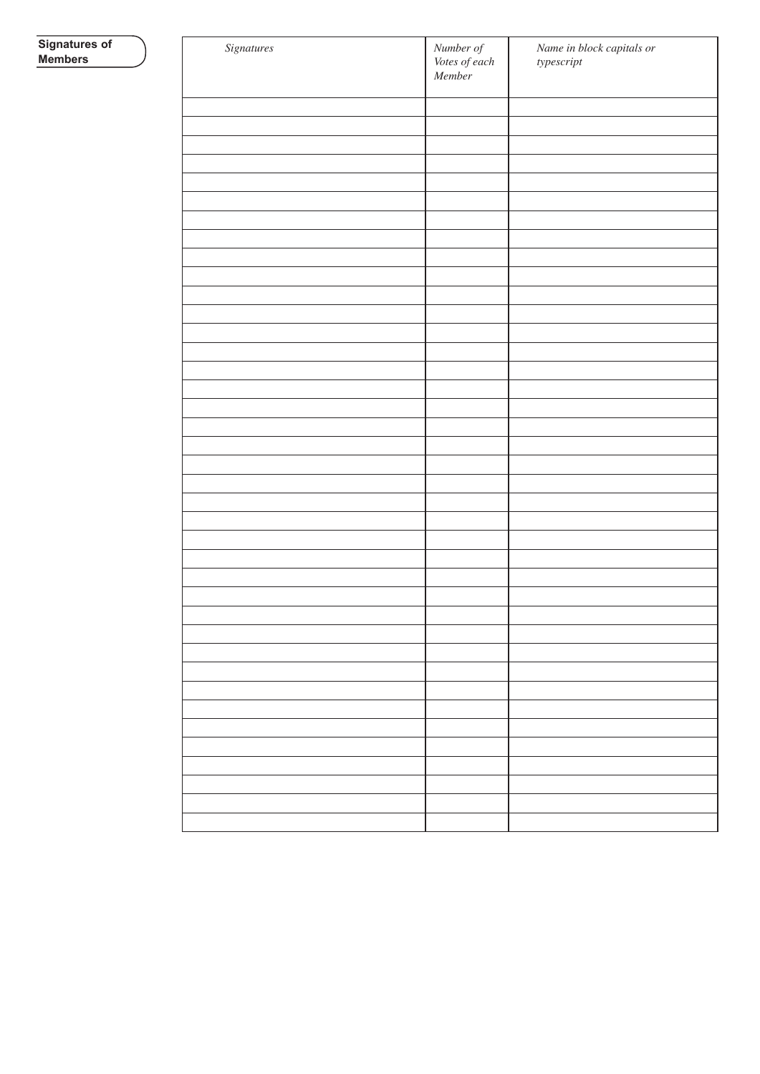| Signatures | Number of<br>Votes of each<br>Member | Name in block capitals or<br>$\label{thm:upper} type script$ |
|------------|--------------------------------------|--------------------------------------------------------------|
|            |                                      |                                                              |
|            |                                      |                                                              |
|            |                                      |                                                              |
|            |                                      |                                                              |
|            |                                      |                                                              |
|            |                                      |                                                              |
|            |                                      |                                                              |
|            |                                      |                                                              |
|            |                                      |                                                              |
|            |                                      |                                                              |
|            |                                      |                                                              |
|            |                                      |                                                              |
|            |                                      |                                                              |
|            |                                      |                                                              |
|            |                                      |                                                              |
|            |                                      |                                                              |
|            |                                      |                                                              |
|            |                                      |                                                              |
|            |                                      |                                                              |
|            |                                      |                                                              |
|            |                                      |                                                              |
|            |                                      |                                                              |
|            |                                      |                                                              |
|            |                                      |                                                              |
|            |                                      |                                                              |
|            |                                      |                                                              |
|            |                                      |                                                              |
|            |                                      |                                                              |
|            |                                      |                                                              |
|            |                                      |                                                              |
|            |                                      |                                                              |
|            |                                      |                                                              |
|            |                                      |                                                              |
|            |                                      |                                                              |
|            |                                      |                                                              |
|            |                                      |                                                              |
|            |                                      |                                                              |
|            |                                      |                                                              |
|            |                                      |                                                              |